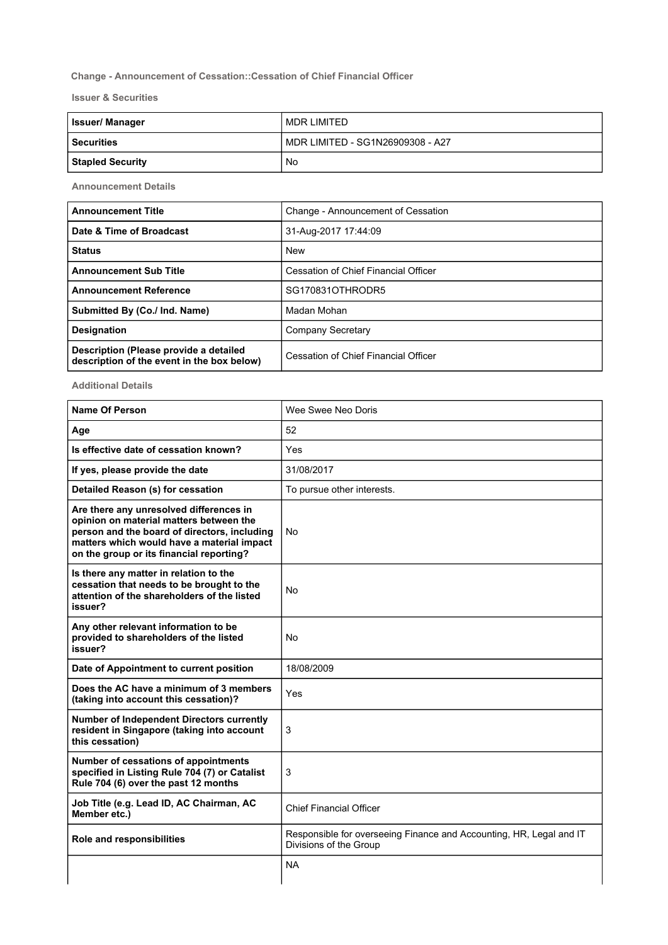## Change - Announcement of Cessation::Cessation of Chief Financial Officer

Issuer & Securities

| <b>Issuer/Manager</b>   | MDR LIMITED                      |
|-------------------------|----------------------------------|
| <b>Securities</b>       | MDR LIMITED - SG1N26909308 - A27 |
| <b>Stapled Security</b> | No                               |

Announcement Details

| <b>Announcement Title</b>                                                            | Change - Announcement of Cessation   |
|--------------------------------------------------------------------------------------|--------------------------------------|
| Date & Time of Broadcast                                                             | 31-Aug-2017 17:44:09                 |
| <b>Status</b>                                                                        | <b>New</b>                           |
| <b>Announcement Sub Title</b>                                                        | Cessation of Chief Financial Officer |
| <b>Announcement Reference</b>                                                        | SG170831OTHRODR5                     |
| Submitted By (Co./ Ind. Name)                                                        | Madan Mohan                          |
| <b>Designation</b>                                                                   | Company Secretary                    |
| Description (Please provide a detailed<br>description of the event in the box below) | Cessation of Chief Financial Officer |

Additional Details

| <b>Name Of Person</b>                                                                                                                                                                                                        | Wee Swee Neo Doris                                                                            |
|------------------------------------------------------------------------------------------------------------------------------------------------------------------------------------------------------------------------------|-----------------------------------------------------------------------------------------------|
| Age                                                                                                                                                                                                                          | 52                                                                                            |
| Is effective date of cessation known?                                                                                                                                                                                        | Yes                                                                                           |
| If yes, please provide the date                                                                                                                                                                                              | 31/08/2017                                                                                    |
| Detailed Reason (s) for cessation                                                                                                                                                                                            | To pursue other interests.                                                                    |
| Are there any unresolved differences in<br>opinion on material matters between the<br>person and the board of directors, including<br>matters which would have a material impact<br>on the group or its financial reporting? | No                                                                                            |
| Is there any matter in relation to the<br>cessation that needs to be brought to the<br>attention of the shareholders of the listed<br>issuer?                                                                                | No                                                                                            |
| Any other relevant information to be<br>provided to shareholders of the listed<br>issuer?                                                                                                                                    | <b>No</b>                                                                                     |
| Date of Appointment to current position                                                                                                                                                                                      | 18/08/2009                                                                                    |
| Does the AC have a minimum of 3 members<br>(taking into account this cessation)?                                                                                                                                             | Yes                                                                                           |
| <b>Number of Independent Directors currently</b><br>resident in Singapore (taking into account<br>this cessation)                                                                                                            | $\mathbf{3}$                                                                                  |
| Number of cessations of appointments<br>specified in Listing Rule 704 (7) or Catalist<br>Rule 704 (6) over the past 12 months                                                                                                | 3                                                                                             |
| Job Title (e.g. Lead ID, AC Chairman, AC<br>Member etc.)                                                                                                                                                                     | <b>Chief Financial Officer</b>                                                                |
| Role and responsibilities                                                                                                                                                                                                    | Responsible for overseeing Finance and Accounting, HR, Legal and IT<br>Divisions of the Group |
|                                                                                                                                                                                                                              | <b>NA</b>                                                                                     |